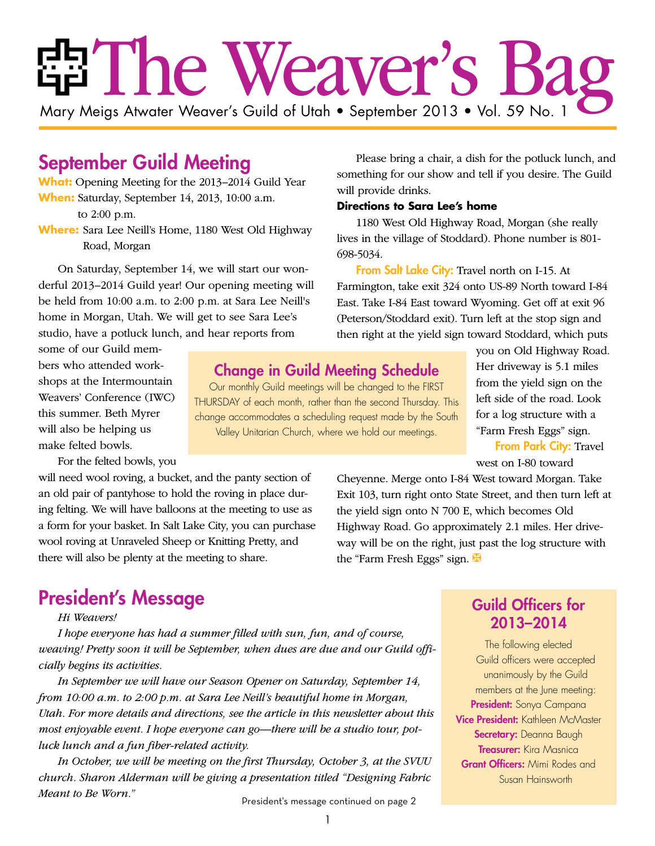# ria The Weaver's Ba

Mary Meigs Atwater Weaver's Guild of Utah • September 2013 • Vol. 59 No. 1

# September Guild Meeting

**What:** Opening Meeting for the 2013–2014 Guild Year **When:** Saturday, September 14, 2013, 10:00 a.m.

to 2:00 p.m.

**Where:** Sara Lee Neill's Home, 1180 West Old Highway Road, Morgan

On Saturday, September 14, we will start our wonderful 2013–2014 Guild year! Our opening meeting will be held from 10:00 a.m. to 2:00 p.m. at Sara Lee Neill's home in Morgan, Utah. We will get to see Sara Lee's studio, have a potluck lunch, and hear reports from

some of our Guild members who attended workshops at the Intermountain Weavers' Conference (IWC) this summer. Beth Myrer will also be helping us make felted bowls.

For the felted bowls, you

will need wool roving, a bucket, and the panty section of an old pair of pantyhose to hold the roving in place during felting. We will have balloons at the meeting to use as a form for your basket. In Salt Lake City, you can purchase wool roving at Unraveled Sheep or Knitting Pretty, and there will also be plenty at the meeting to share.

# President's Message

#### *Hi Weavers!*

*I hope everyone has had a summer filled with sun, fun, and of course, weaving! Pretty soon it will be September, when dues are due and our Guild officially begins its activities.* 

*In September we will have our Season Opener on Saturday, September 14, from 10:00 a.m. to 2:00 p.m. at Sara Lee Neill's beautiful home in Morgan, Utah. For more details and directions, see the article in this newsletter about this most enjoyable event. I hope everyone can go—there will be a studio tour, potluck lunch and a fun fiber-related activity.* 

*In October, we will be meeting on the first Thursday, October 3, at the SVUU church. Sharon Alderman will be giving a presentation titled "Designing Fabric Meant to Be Worn."*

President's message continued on page 2

Please bring a chair, a dish for the potluck lunch, and something for our show and tell if you desire. The Guild will provide drinks.

#### **Directions to Sara Lee's home**

1180 West Old Highway Road, Morgan (she really lives in the village of Stoddard). Phone number is 801- 698-5034.

From Salt Lake City: Travel north on I-15. At Farmington, take exit 324 onto US-89 North toward I-84 East. Take I-84 East toward Wyoming. Get off at exit 96 (Peterson/Stoddard exit). Turn left at the stop sign and then right at the yield sign toward Stoddard, which puts

Change in Guild Meeting Schedule

Our monthly Guild meetings will be changed to the FIRST THURSDAY of each month, rather than the second Thursday. This change accommodates a scheduling request made by the South Valley Unitarian Church, where we hold our meetings.

you on Old Highway Road. Her driveway is 5.1 miles from the yield sign on the left side of the road. Look for a log structure with a "Farm Fresh Eggs" sign.

**From Park City: Travel** west on I-80 toward

Cheyenne. Merge onto I-84 West toward Morgan. Take Exit 103, turn right onto State Street, and then turn left at the yield sign onto N 700 E, which becomes Old Highway Road. Go approximately 2.1 miles. Her driveway will be on the right, just past the log structure with the "Farm Fresh Eggs" sign.  $\mathbb{K}$ 

# Guild Officers for 2013–2014

The following elected Guild officers were accepted unanimously by the Guild members at the June meeting: President: Sonya Campana Vice President: Kathleen McMaster Secretary: Deanna Baugh **Treasurer:** Kira Masnica Grant Officers: Mimi Rodes and Susan Hainsworth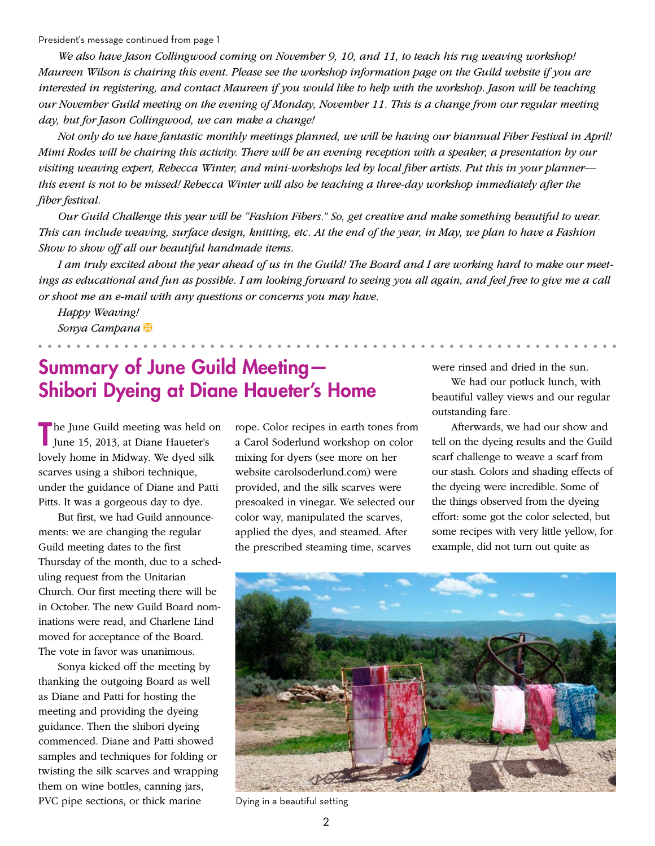President's message continued from page 1

*We also have Jason Collingwood coming on November 9, 10, and 11, to teach his rug weaving workshop! Maureen Wilson is chairing this event. Please see the workshop information page on the Guild website if you are*  interested in registering, and contact Maureen if you would like to help with the workshop. Jason will be teaching *our November Guild meeting on the evening of Monday, November 11. This is a change from our regular meeting day, but for Jason Collingwood, we can make a change!*

*Not only do we have fantastic monthly meetings planned, we will be having our biannual Fiber Festival in April! Mimi Rodes will be chairing this activity. There will be an evening reception with a speaker, a presentation by our visiting weaving expert, Rebecca Winter, and mini-workshops led by local fiber artists. Put this in your planner this event is not to be missed! Rebecca Winter will also be teaching a three-day workshop immediately after the fiber festival.*

*Our Guild Challenge this year will be "Fashion Fibers." So, get creative and make something beautiful to wear. This can include weaving, surface design, knitting, etc. At the end of the year, in May, we plan to have a Fashion Show to show off all our beautiful handmade items.*

*I am truly excited about the year ahead of us in the Guild! The Board and I are working hard to make our meetings as educational and fun as possible. I am looking forward to seeing you all again, and feel free to give me a call or shoot me an e-mail with any questions or concerns you may have.*

*Happy Weaving! Sonya Campana* Ì

# Summary of June Guild Meeting— Shibori Dyeing at Diane Haueter's Home

The June Guild meeting was held on June 15, 2013, at Diane Haueter's lovely home in Midway. We dyed silk scarves using a shibori technique, under the guidance of Diane and Patti Pitts. It was a gorgeous day to dye.

But first, we had Guild announcements: we are changing the regular Guild meeting dates to the first Thursday of the month, due to a scheduling request from the Unitarian Church. Our first meeting there will be in October. The new Guild Board nominations were read, and Charlene Lind moved for acceptance of the Board. The vote in favor was unanimous.

Sonya kicked off the meeting by thanking the outgoing Board as well as Diane and Patti for hosting the meeting and providing the dyeing guidance. Then the shibori dyeing commenced. Diane and Patti showed samples and techniques for folding or twisting the silk scarves and wrapping them on wine bottles, canning jars, PVC pipe sections, or thick marine

rope. Color recipes in earth tones from a Carol Soderlund workshop on color mixing for dyers (see more on her website carolsoderlund.com) were provided, and the silk scarves were presoaked in vinegar. We selected our color way, manipulated the scarves, applied the dyes, and steamed. After the prescribed steaming time, scarves

were rinsed and dried in the sun.

We had our potluck lunch, with beautiful valley views and our regular outstanding fare.

Afterwards, we had our show and tell on the dyeing results and the Guild scarf challenge to weave a scarf from our stash. Colors and shading effects of the dyeing were incredible. Some of the things observed from the dyeing effort: some got the color selected, but some recipes with very little yellow, for example, did not turn out quite as



Dying in a beautiful setting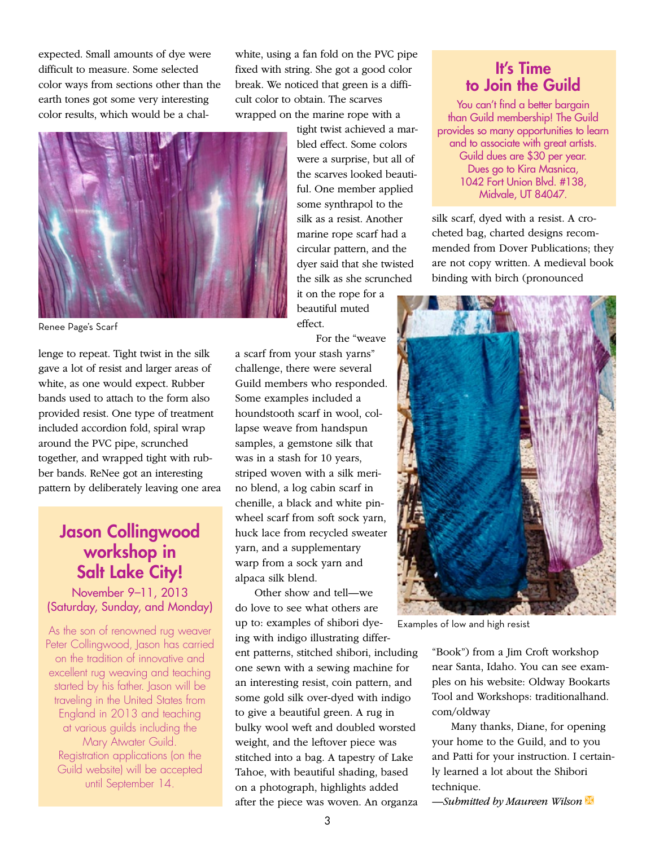expected. Small amounts of dye were difficult to measure. Some selected color ways from sections other than the earth tones got some very interesting color results, which would be a chalwhite, using a fan fold on the PVC pipe fixed with string. She got a good color break. We noticed that green is a difficult color to obtain. The scarves wrapped on the marine rope with a



Renee Page's Scarf

lenge to repeat. Tight twist in the silk gave a lot of resist and larger areas of white, as one would expect. Rubber bands used to attach to the form also provided resist. One type of treatment included accordion fold, spiral wrap around the PVC pipe, scrunched together, and wrapped tight with rubber bands. ReNee got an interesting pattern by deliberately leaving one area

# Jason Collingwood workshop in Salt Lake City!

November 9–11, 2013 (Saturday, Sunday, and Monday)

As the son of renowned rug weaver Peter Collingwood, Jason has carried on the tradition of innovative and excellent rug weaving and teaching started by his father. Jason will be traveling in the United States from England in 2013 and teaching at various guilds including the Mary Atwater Guild. Registration applications (on the Guild website) will be accepted until September 14.

tight twist achieved a marbled effect. Some colors were a surprise, but all of the scarves looked beautiful. One member applied some synthrapol to the silk as a resist. Another marine rope scarf had a circular pattern, and the dyer said that she twisted the silk as she scrunched it on the rope for a beautiful muted effect.

For the "weave

a scarf from your stash yarns" challenge, there were several Guild members who responded. Some examples included a houndstooth scarf in wool, collapse weave from handspun samples, a gemstone silk that was in a stash for 10 years, striped woven with a silk merino blend, a log cabin scarf in chenille, a black and white pinwheel scarf from soft sock yarn, huck lace from recycled sweater yarn, and a supplementary warp from a sock yarn and alpaca silk blend.

Other show and tell—we do love to see what others are up to: examples of shibori dyeing with indigo illustrating different patterns, stitched shibori, including one sewn with a sewing machine for an interesting resist, coin pattern, and some gold silk over-dyed with indigo to give a beautiful green. A rug in bulky wool weft and doubled worsted weight, and the leftover piece was stitched into a bag. A tapestry of Lake Tahoe, with beautiful shading, based on a photograph, highlights added after the piece was woven. An organza

# It's Time to Join the Guild

You can't find a better bargain than Guild membership! The Guild provides so many opportunities to learn and to associate with great artists. Guild dues are \$30 per year. Dues go to Kira Masnica, 1042 Fort Union Blvd. #138, Midvale, UT 84047.

silk scarf, dyed with a resist. A crocheted bag, charted designs recommended from Dover Publications; they are not copy written. A medieval book binding with birch (pronounced



Examples of low and high resist

"Book") from a Jim Croft workshop near Santa, Idaho. You can see examples on his website: Oldway Bookarts Tool and Workshops: traditionalhand. com/oldway

Many thanks, Diane, for opening your home to the Guild, and to you and Patti for your instruction. I certainly learned a lot about the Shibori technique.

 $-$ *Submitted by Maureen Wilson*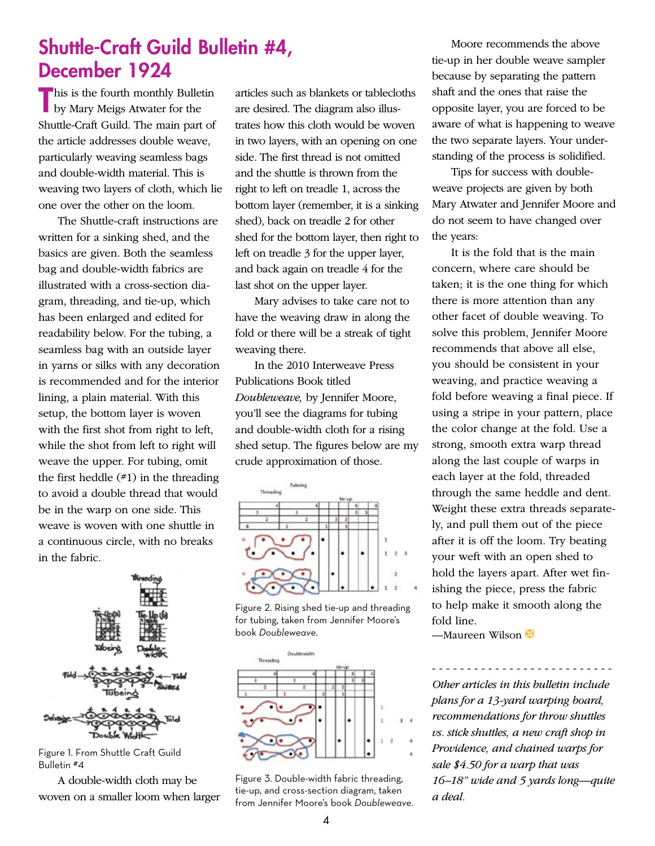# Shuttle-Craft Guild Bulletin #4, December 1924

This is the fourth monthly Bulletin<br>by Mary Meigs Atwater for the **by Mary Meigs Atwater for the** Shuttle-Craft Guild. The main part of the article addresses double weave, particularly weaving seamless bags and double-width material. This is weaving two layers of cloth, which lie one over the other on the loom.

The Shuttle-craft instructions are written for a sinking shed, and the basics are given. Both the seamless bag and double-width fabrics are illustrated with a cross-section diagram, threading, and tie-up, which has been enlarged and edited for readability below. For the tubing, a seamless bag with an outside layer in yarns or silks with any decoration is recommended and for the interior lining, a plain material. With this setup, the bottom layer is woven with the first shot from right to left, while the shot from left to right will weave the upper. For tubing, omit the first heddle  $(*1)$  in the threading to avoid a double thread that would be in the warp on one side. This weave is woven with one shuttle in a continuous circle, with no breaks in the fabric.

Figure 1. From Shuttle Craft Guild Bulletin #4

A double-width cloth may be woven on a smaller loom when larger

articles such as blankets or tablecloths are desired. The diagram also illustrates how this cloth would be woven in two layers, with an opening on one side. The first thread is not omitted and the shuttle is thrown from the right to left on treadle 1, across the bottom layer (remember, it is a sinking shed), back on treadle 2 for other shed for the bottom layer, then right to left on treadle 3 for the upper layer, and back again on treadle 4 for the last shot on the upper layer.

Mary advises to take care not to have the weaving draw in along the fold or there will be a streak of tight weaving there.

In the 2010 Interweave Press Publications Book titled *Doubleweave,* by Jennifer Moore, you'll see the diagrams for tubing and double-width cloth for a rising shed setup. The figures below are my crude approximation of those.



Figure 2. Rising shed tie-up and threading for tubing, taken from Jennifer Moore's book *Doubleweave*.



Figure 3. Double-width fabric threading, tie-up, and cross-section diagram, taken from Jennifer Moore's book *Doubleweave*.

Moore recommends the above tie-up in her double weave sampler because by separating the pattern shaft and the ones that raise the opposite layer, you are forced to be aware of what is happening to weave the two separate layers. Your understanding of the process is solidified.

Tips for success with doubleweave projects are given by both Mary Atwater and Jennifer Moore and do not seem to have changed over the years:

It is the fold that is the main concern, where care should be taken; it is the one thing for which there is more attention than any other facet of double weaving. To solve this problem, Jennifer Moore recommends that above all else, you should be consistent in your weaving, and practice weaving a fold before weaving a final piece. If using a stripe in your pattern, place the color change at the fold. Use a strong, smooth extra warp thread along the last couple of warps in each layer at the fold, threaded through the same heddle and dent. Weight these extra threads separately, and pull them out of the piece after it is off the loom. Try beating your weft with an open shed to hold the layers apart. After wet finishing the piece, press the fabric to help make it smooth along the fold line.

 $-Ma$ ureen Wilson

*Other articles in this bulletin include plans for a 13-yard warping board, recommendations for throw shuttles vs. stick shuttles, a new craft shop in Providence, and chained warps for sale \$4.50 for a warp that was 16–18" wide and 5 yards long—quite a deal.* 

- - - - - - - - - - - - - - - - - - - - - - - - - -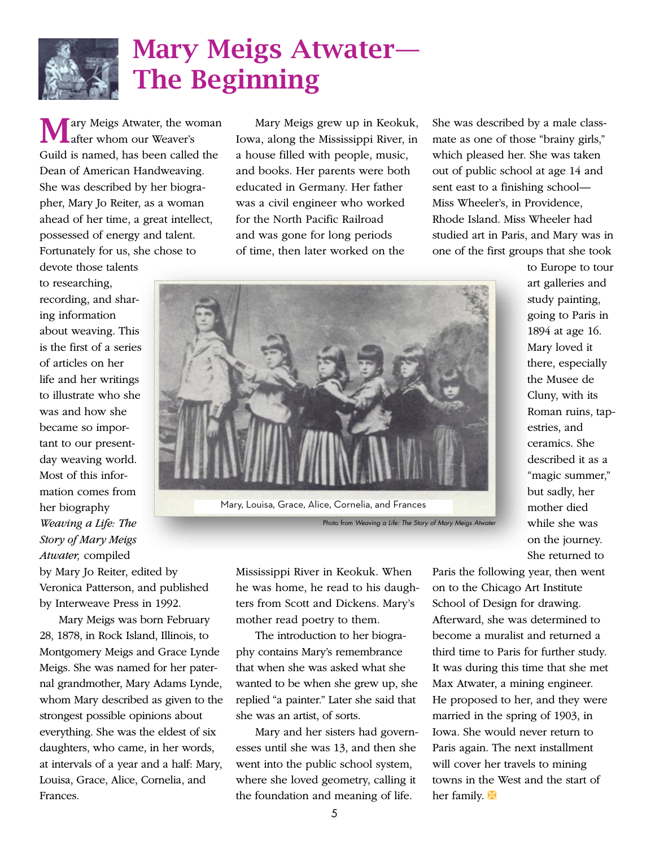

# Mary Meigs Atwater— The Beginning

ary Meigs Atwater, the woman after whom our Weaver's Guild is named, has been called the Dean of American Handweaving. She was described by her biographer, Mary Jo Reiter, as a woman ahead of her time, a great intellect, possessed of energy and talent. Fortunately for us, she chose to

devote those talents to researching, recording, and sharing information about weaving. This is the first of a series of articles on her life and her writings to illustrate who she was and how she became so important to our presentday weaving world. Most of this information comes from her biography *Weaving a Life: The Story of Mary Meigs Atwater,* compiled

by Mary Jo Reiter, edited by Veronica Patterson, and published by Interweave Press in 1992.

Mary Meigs was born February 28, 1878, in Rock Island, Illinois, to Montgomery Meigs and Grace Lynde Meigs. She was named for her paternal grandmother, Mary Adams Lynde, whom Mary described as given to the strongest possible opinions about everything. She was the eldest of six daughters, who came, in her words, at intervals of a year and a half: Mary, Louisa, Grace, Alice, Cornelia, and Frances.

Mary Meigs grew up in Keokuk, Iowa, along the Mississippi River, in a house filled with people, music, and books. Her parents were both educated in Germany. Her father was a civil engineer who worked for the North Pacific Railroad and was gone for long periods of time, then later worked on the

She was described by a male classmate as one of those "brainy girls," which pleased her. She was taken out of public school at age 14 and sent east to a finishing school— Miss Wheeler's, in Providence, Rhode Island. Miss Wheeler had studied art in Paris, and Mary was in one of the first groups that she took



Photo from *Weaving a Life: The Story of Mary Meigs Atwater*

Mississippi River in Keokuk. When he was home, he read to his daughters from Scott and Dickens. Mary's mother read poetry to them.

The introduction to her biography contains Mary's remembrance that when she was asked what she wanted to be when she grew up, she replied "a painter." Later she said that she was an artist, of sorts.

Mary and her sisters had governesses until she was 13, and then she went into the public school system, where she loved geometry, calling it the foundation and meaning of life.

to Europe to tour art galleries and study painting, going to Paris in 1894 at age 16. Mary loved it there, especially the Musee de Cluny, with its Roman ruins, tapestries, and ceramics. She described it as a "magic summer," but sadly, her mother died while she was on the journey. She returned to

Paris the following year, then went on to the Chicago Art Institute School of Design for drawing. Afterward, she was determined to become a muralist and returned a third time to Paris for further study. It was during this time that she met Max Atwater, a mining engineer. He proposed to her, and they were married in the spring of 1903, in Iowa. She would never return to Paris again. The next installment will cover her travels to mining towns in the West and the start of her family.  $\mathbb{X}$